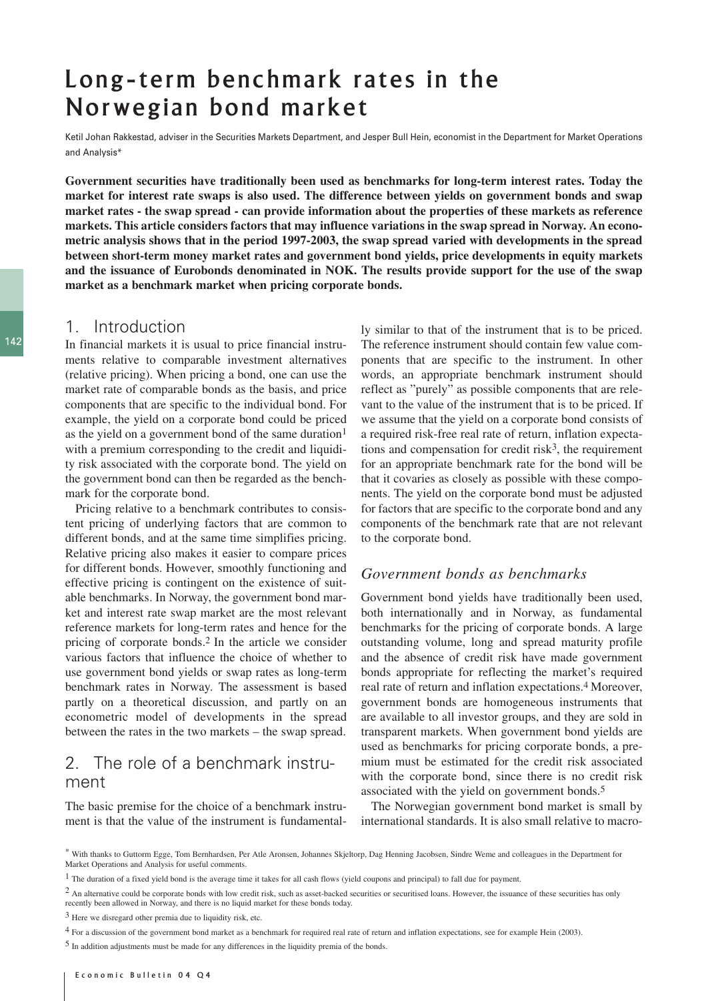# Long-term benchmark rates in the Norwegian bond market

Ketil Johan Rakkestad, adviser in the Securities Markets Department, and Jesper Bull Hein, economist in the Department for Market Operations and Analysis\*

**Government securities have traditionally been used as benchmarks for long-term interest rates. Today the market for interest rate swaps is also used. The difference between yields on government bonds and swap market rates - the swap spread - can provide information about the properties of these markets as reference markets. This article considers factors that may influence variations in the swap spread in Norway. An econometric analysis shows that in the period 1997-2003, the swap spread varied with developments in the spread between short-term money market rates and government bond yields, price developments in equity markets and the issuance of Eurobonds denominated in NOK. The results provide support for the use of the swap market as a benchmark market when pricing corporate bonds.**

# 1. Introduction

In financial markets it is usual to price financial instruments relative to comparable investment alternatives (relative pricing). When pricing a bond, one can use the market rate of comparable bonds as the basis, and price components that are specific to the individual bond. For example, the yield on a corporate bond could be priced as the yield on a government bond of the same duration<sup>1</sup> with a premium corresponding to the credit and liquidity risk associated with the corporate bond. The yield on the government bond can then be regarded as the benchmark for the corporate bond.

Pricing relative to a benchmark contributes to consistent pricing of underlying factors that are common to different bonds, and at the same time simplifies pricing. Relative pricing also makes it easier to compare prices for different bonds. However, smoothly functioning and effective pricing is contingent on the existence of suitable benchmarks. In Norway, the government bond market and interest rate swap market are the most relevant reference markets for long-term rates and hence for the pricing of corporate bonds.2 In the article we consider various factors that influence the choice of whether to use government bond yields or swap rates as long-term benchmark rates in Norway. The assessment is based partly on a theoretical discussion, and partly on an econometric model of developments in the spread between the rates in the two markets – the swap spread.

# 2. The role of a benchmark instrument

The basic premise for the choice of a benchmark instrument is that the value of the instrument is fundamentally similar to that of the instrument that is to be priced. The reference instrument should contain few value components that are specific to the instrument. In other words, an appropriate benchmark instrument should reflect as "purely" as possible components that are relevant to the value of the instrument that is to be priced. If we assume that the yield on a corporate bond consists of a required risk-free real rate of return, inflation expectations and compensation for credit risk $3$ , the requirement for an appropriate benchmark rate for the bond will be that it covaries as closely as possible with these components. The yield on the corporate bond must be adjusted for factors that are specific to the corporate bond and any components of the benchmark rate that are not relevant to the corporate bond.

### *Government bonds as benchmarks*

Government bond yields have traditionally been used, both internationally and in Norway, as fundamental benchmarks for the pricing of corporate bonds. A large outstanding volume, long and spread maturity profile and the absence of credit risk have made government bonds appropriate for reflecting the market's required real rate of return and inflation expectations.4 Moreover, government bonds are homogeneous instruments that are available to all investor groups, and they are sold in transparent markets. When government bond yields are used as benchmarks for pricing corporate bonds, a premium must be estimated for the credit risk associated with the corporate bond, since there is no credit risk associated with the yield on government bonds.5

The Norwegian government bond market is small by international standards. It is also small relative to macro-

3 Here we disregard other premia due to liquidity risk, etc.

<sup>\*</sup> With thanks to Guttorm Egge, Tom Bernhardsen, Per Atle Aronsen, Johannes Skjeltorp, Dag Henning Jacobsen, Sindre Weme and colleagues in the Department for Market Operations and Analysis for useful comments.

 $<sup>1</sup>$  The duration of a fixed yield bond is the average time it takes for all cash flows (yield coupons and principal) to fall due for payment.</sup>

<sup>&</sup>lt;sup>2</sup> An alternative could be corporate bonds with low credit risk, such as asset-backed securities or securitised loans. However, the issuance of these securities has only recently been allowed in Norway, and there is no liquid market for these bonds today.

<sup>4</sup> For a discussion of the government bond market as a benchmark for required real rate of return and inflation expectations, see for example Hein (2003).

<sup>5</sup> In addition adjustments must be made for any differences in the liquidity premia of the bonds.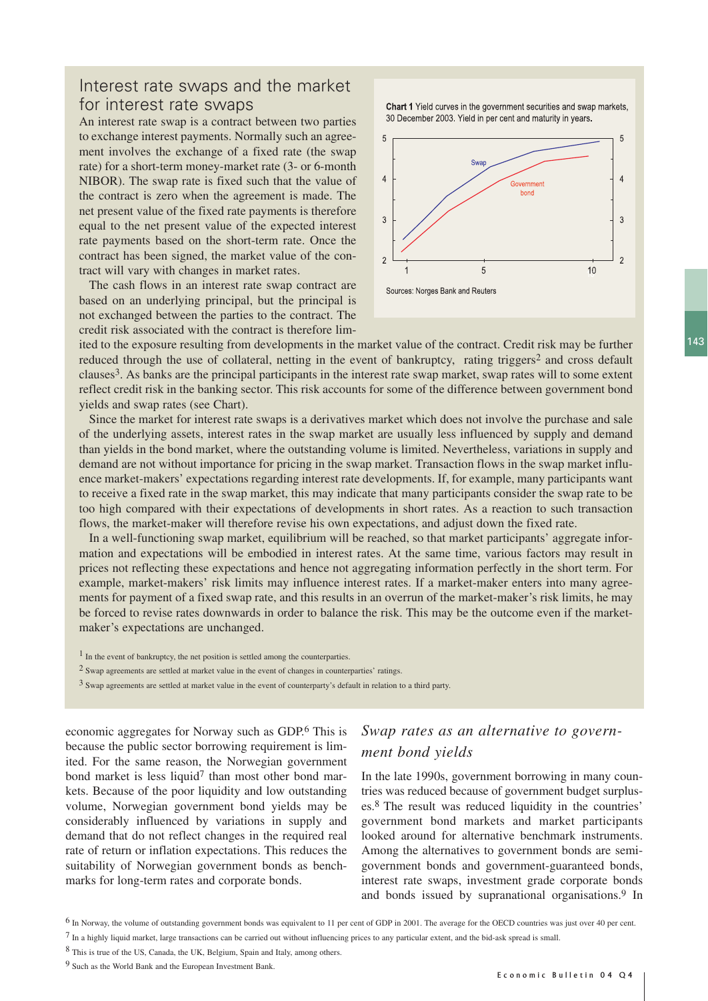# Interest rate swaps and the market for interest rate swaps

An interest rate swap is a contract between two parties to exchange interest payments. Normally such an agreement involves the exchange of a fixed rate (the swap rate) for a short-term money-market rate (3- or 6-month NIBOR). The swap rate is fixed such that the value of the contract is zero when the agreement is made. The net present value of the fixed rate payments is therefore equal to the net present value of the expected interest rate payments based on the short-term rate. Once the contract has been signed, the market value of the contract will vary with changes in market rates.

The cash flows in an interest rate swap contract are based on an underlying principal, but the principal is not exchanged between the parties to the contract. The credit risk associated with the contract is therefore lim-

Chart 1 Yield curves in the government securities and swap markets, 30 December 2003. Yield in per cent and maturity in years.



ited to the exposure resulting from developments in the market value of the contract. Credit risk may be further reduced through the use of collateral, netting in the event of bankruptcy, rating triggers<sup>2</sup> and cross default clauses3. As banks are the principal participants in the interest rate swap market, swap rates will to some extent reflect credit risk in the banking sector. This risk accounts for some of the difference between government bond yields and swap rates (see Chart).

Since the market for interest rate swaps is a derivatives market which does not involve the purchase and sale of the underlying assets, interest rates in the swap market are usually less influenced by supply and demand than yields in the bond market, where the outstanding volume is limited. Nevertheless, variations in supply and demand are not without importance for pricing in the swap market. Transaction flows in the swap market influence market-makers' expectations regarding interest rate developments. If, for example, many participants want to receive a fixed rate in the swap market, this may indicate that many participants consider the swap rate to be too high compared with their expectations of developments in short rates. As a reaction to such transaction flows, the market-maker will therefore revise his own expectations, and adjust down the fixed rate.

In a well-functioning swap market, equilibrium will be reached, so that market participants' aggregate information and expectations will be embodied in interest rates. At the same time, various factors may result in prices not reflecting these expectations and hence not aggregating information perfectly in the short term. For example, market-makers' risk limits may influence interest rates. If a market-maker enters into many agreements for payment of a fixed swap rate, and this results in an overrun of the market-maker's risk limits, he may be forced to revise rates downwards in order to balance the risk. This may be the outcome even if the marketmaker's expectations are unchanged.

- 1 In the event of bankruptcy, the net position is settled among the counterparties.
- 2 Swap agreements are settled at market value in the event of changes in counterparties' ratings.

3 Swap agreements are settled at market value in the event of counterparty's default in relation to a third party.

economic aggregates for Norway such as GDP.6 This is because the public sector borrowing requirement is limited. For the same reason, the Norwegian government bond market is less liquid<sup>7</sup> than most other bond markets. Because of the poor liquidity and low outstanding volume, Norwegian government bond yields may be considerably influenced by variations in supply and demand that do not reflect changes in the required real rate of return or inflation expectations. This reduces the suitability of Norwegian government bonds as benchmarks for long-term rates and corporate bonds.

# *Swap rates as an alternative to government bond yields*

In the late 1990s, government borrowing in many countries was reduced because of government budget surpluses.8 The result was reduced liquidity in the countries' government bond markets and market participants looked around for alternative benchmark instruments. Among the alternatives to government bonds are semigovernment bonds and government-guaranteed bonds, interest rate swaps, investment grade corporate bonds and bonds issued by supranational organisations.9 In

<sup>6</sup> In Norway, the volume of outstanding government bonds was equivalent to 11 per cent of GDP in 2001. The average for the OECD countries was just over 40 per cent. 7 In a highly liquid market, large transactions can be carried out without influencing prices to any particular extent, and the bid-ask spread is small.

<sup>8</sup> This is true of the US, Canada, the UK, Belgium, Spain and Italy, among others.

<sup>9</sup> Such as the World Bank and the European Investment Bank.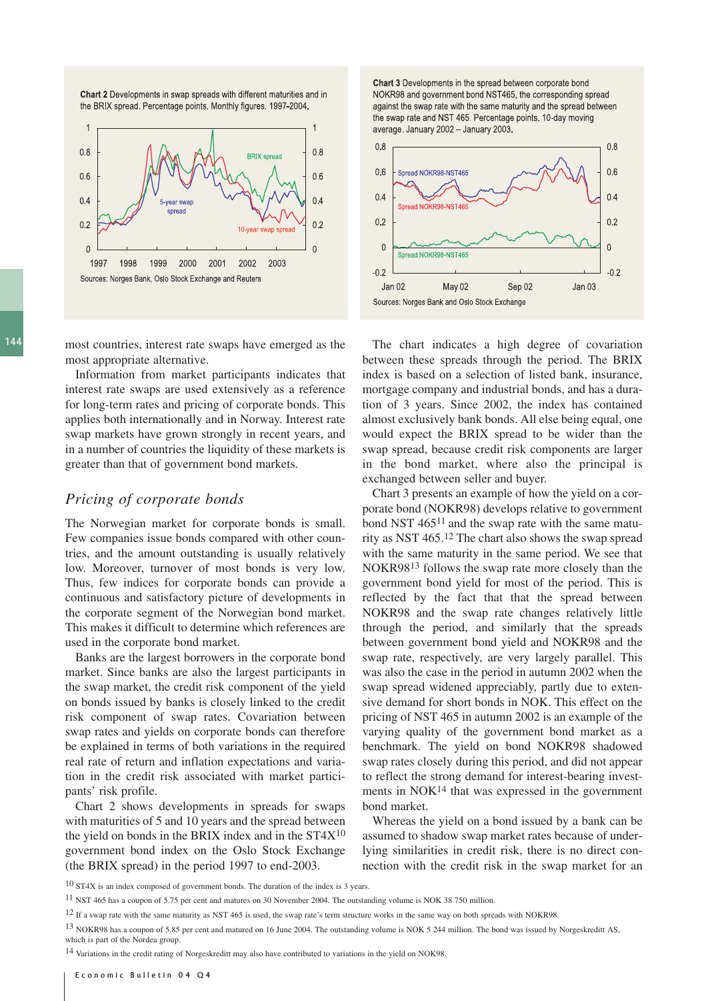Chart 2 Developments in swap spreads with different maturities and in the BRIX spread. Percentage points. Monthly figures. 1997-2004.



 $144$ 

most countries, interest rate swaps have emerged as the most appropriate alternative.

Information from market participants indicates that interest rate swaps are used extensively as a reference for long-term rates and pricing of corporate bonds. This applies both internationally and in Norway. Interest rate swap markets have grown strongly in recent years, and in a number of countries the liquidity of these markets is greater than that of government bond markets.

### *Pricing of corporate bonds*

The Norwegian market for corporate bonds is small. Few companies issue bonds compared with other countries, and the amount outstanding is usually relatively low. Moreover, turnover of most bonds is very low. Thus, few indices for corporate bonds can provide a continuous and satisfactory picture of developments in the corporate segment of the Norwegian bond market. This makes it difficult to determine which references are used in the corporate bond market.

Banks are the largest borrowers in the corporate bond market. Since banks are also the largest participants in the swap market, the credit risk component of the yield on bonds issued by banks is closely linked to the credit risk component of swap rates. Covariation between swap rates and yields on corporate bonds can therefore be explained in terms of both variations in the required real rate of return and inflation expectations and variation in the credit risk associated with market participants' risk profile.

Chart 2 shows developments in spreads for swaps with maturities of 5 and 10 years and the spread between the yield on bonds in the BRIX index and in the  $ST4X^{10}$ government bond index on the Oslo Stock Exchange (the BRIX spread) in the period 1997 to end-2003.

Chart 3 Developments in the spread between corporate bond NOKR98 and government bond NST465, the corresponding spread against the swap rate with the same maturity and the spread between the swap rate and NST 465. Percentage points. 10-day moving average. January 2002 - January 2003.



The chart indicates a high degree of covariation between these spreads through the period. The BRIX index is based on a selection of listed bank, insurance, mortgage company and industrial bonds, and has a duration of 3 years. Since 2002, the index has contained almost exclusively bank bonds. All else being equal, one would expect the BRIX spread to be wider than the swap spread, because credit risk components are larger in the bond market, where also the principal is exchanged between seller and buyer.

Chart 3 presents an example of how the yield on a corporate bond (NOKR98) develops relative to government bond NST 46511 and the swap rate with the same maturity as NST 465.12 The chart also shows the swap spread with the same maturity in the same period. We see that NOKR9813 follows the swap rate more closely than the government bond yield for most of the period. This is reflected by the fact that that the spread between NOKR98 and the swap rate changes relatively little through the period, and similarly that the spreads between government bond yield and NOKR98 and the swap rate, respectively, are very largely parallel. This was also the case in the period in autumn 2002 when the swap spread widened appreciably, partly due to extensive demand for short bonds in NOK. This effect on the pricing of NST 465 in autumn 2002 is an example of the varying quality of the government bond market as a benchmark. The yield on bond NOKR98 shadowed swap rates closely during this period, and did not appear to reflect the strong demand for interest-bearing investments in  $NOK<sup>14</sup>$  that was expressed in the government bond market.

Whereas the yield on a bond issued by a bank can be assumed to shadow swap market rates because of underlying similarities in credit risk, there is no direct connection with the credit risk in the swap market for an

<sup>10</sup> ST4X is an index composed of government bonds. The duration of the index is 3 years.

<sup>11</sup> NST 465 has a coupon of 5.75 per cent and matures on 30 November 2004. The outstanding volume is NOK 38 750 million.

<sup>&</sup>lt;sup>12</sup> If a swap rate with the same maturity as NST 465 is used, the swap rate's term structure works in the same way on both spreads with NOKR98.

<sup>13</sup> NOKR98 has a coupon of 5.85 per cent and matured on 16 June 2004. The outstanding volume is NOK 5 244 million. The bond was issued by Norgeskreditt AS, which is part of the Nordea group

<sup>14</sup> Variations in the credit rating of Norgeskreditt may also have contributed to variations in the yield on NOK98.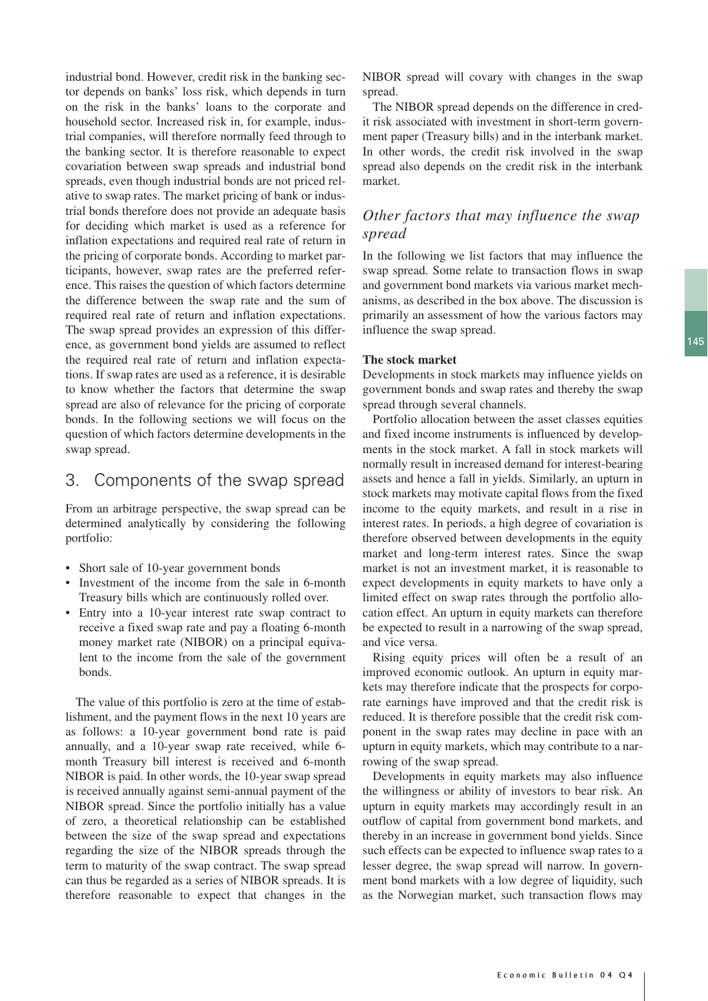industrial bond. However, credit risk in the banking sector depends on banks' loss risk, which depends in turn on the risk in the banks' loans to the corporate and household sector. Increased risk in, for example, industrial companies, will therefore normally feed through to the banking sector. It is therefore reasonable to expect covariation between swap spreads and industrial bond spreads, even though industrial bonds are not priced relative to swap rates. The market pricing of bank or industrial bonds therefore does not provide an adequate basis for deciding which market is used as a reference for inflation expectations and required real rate of return in the pricing of corporate bonds. According to market participants, however, swap rates are the preferred reference. This raises the question of which factors determine the difference between the swap rate and the sum of required real rate of return and inflation expectations. The swap spread provides an expression of this difference, as government bond yields are assumed to reflect the required real rate of return and inflation expectations. If swap rates are used as a reference, it is desirable to know whether the factors that determine the swap spread are also of relevance for the pricing of corporate bonds. In the following sections we will focus on the question of which factors determine developments in the swap spread.

## 3. Components of the swap spread

From an arbitrage perspective, the swap spread can be determined analytically by considering the following portfolio:

- Short sale of 10-year government bonds
- Investment of the income from the sale in 6-month Treasury bills which are continuously rolled over.
- Entry into a 10-year interest rate swap contract to receive a fixed swap rate and pay a floating 6-month money market rate (NIBOR) on a principal equivalent to the income from the sale of the government bonds.

The value of this portfolio is zero at the time of establishment, and the payment flows in the next 10 years are as follows: a 10-year government bond rate is paid annually, and a 10-year swap rate received, while 6 month Treasury bill interest is received and 6-month NIBOR is paid. In other words, the 10-year swap spread is received annually against semi-annual payment of the NIBOR spread. Since the portfolio initially has a value of zero, a theoretical relationship can be established between the size of the swap spread and expectations regarding the size of the NIBOR spreads through the term to maturity of the swap contract. The swap spread can thus be regarded as a series of NIBOR spreads. It is therefore reasonable to expect that changes in the NIBOR spread will covary with changes in the swap spread.

The NIBOR spread depends on the difference in credit risk associated with investment in short-term government paper (Treasury bills) and in the interbank market. In other words, the credit risk involved in the swap spread also depends on the credit risk in the interbank market.

### *Other factors that may influence the swap spread*

In the following we list factors that may influence the swap spread. Some relate to transaction flows in swap and government bond markets via various market mechanisms, as described in the box above. The discussion is primarily an assessment of how the various factors may influence the swap spread.

#### **The stock market**

Developments in stock markets may influence yields on government bonds and swap rates and thereby the swap spread through several channels.

Portfolio allocation between the asset classes equities and fixed income instruments is influenced by developments in the stock market. A fall in stock markets will normally result in increased demand for interest-bearing assets and hence a fall in yields. Similarly, an upturn in stock markets may motivate capital flows from the fixed income to the equity markets, and result in a rise in interest rates. In periods, a high degree of covariation is therefore observed between developments in the equity market and long-term interest rates. Since the swap market is not an investment market, it is reasonable to expect developments in equity markets to have only a limited effect on swap rates through the portfolio allocation effect. An upturn in equity markets can therefore be expected to result in a narrowing of the swap spread, and vice versa.

Rising equity prices will often be a result of an improved economic outlook. An upturn in equity markets may therefore indicate that the prospects for corporate earnings have improved and that the credit risk is reduced. It is therefore possible that the credit risk component in the swap rates may decline in pace with an upturn in equity markets, which may contribute to a narrowing of the swap spread.

Developments in equity markets may also influence the willingness or ability of investors to bear risk. An upturn in equity markets may accordingly result in an outflow of capital from government bond markets, and thereby in an increase in government bond yields. Since such effects can be expected to influence swap rates to a lesser degree, the swap spread will narrow. In government bond markets with a low degree of liquidity, such as the Norwegian market, such transaction flows may 145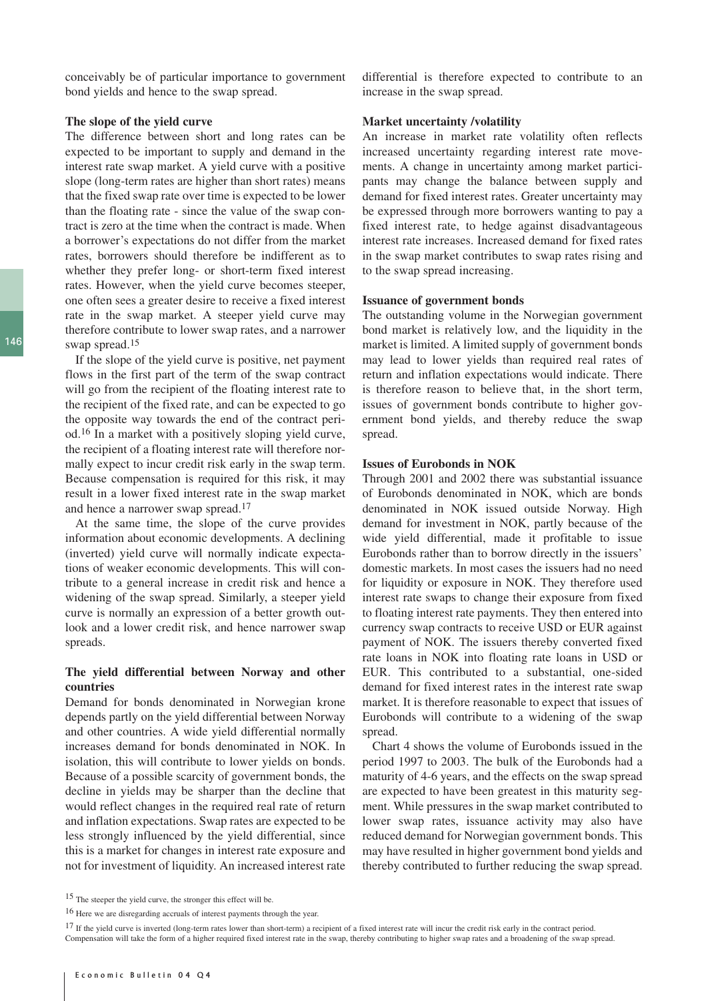conceivably be of particular importance to government bond yields and hence to the swap spread.

#### **The slope of the yield curve**

The difference between short and long rates can be expected to be important to supply and demand in the interest rate swap market. A yield curve with a positive slope (long-term rates are higher than short rates) means that the fixed swap rate over time is expected to be lower than the floating rate - since the value of the swap contract is zero at the time when the contract is made. When a borrower's expectations do not differ from the market rates, borrowers should therefore be indifferent as to whether they prefer long- or short-term fixed interest rates. However, when the yield curve becomes steeper, one often sees a greater desire to receive a fixed interest rate in the swap market. A steeper yield curve may therefore contribute to lower swap rates, and a narrower swap spread.15

If the slope of the yield curve is positive, net payment flows in the first part of the term of the swap contract will go from the recipient of the floating interest rate to the recipient of the fixed rate, and can be expected to go the opposite way towards the end of the contract period.16 In a market with a positively sloping yield curve, the recipient of a floating interest rate will therefore normally expect to incur credit risk early in the swap term. Because compensation is required for this risk, it may result in a lower fixed interest rate in the swap market and hence a narrower swap spread.17

At the same time, the slope of the curve provides information about economic developments. A declining (inverted) yield curve will normally indicate expectations of weaker economic developments. This will contribute to a general increase in credit risk and hence a widening of the swap spread. Similarly, a steeper yield curve is normally an expression of a better growth outlook and a lower credit risk, and hence narrower swap spreads.

#### **The yield differential between Norway and other countries**

Demand for bonds denominated in Norwegian krone depends partly on the yield differential between Norway and other countries. A wide yield differential normally increases demand for bonds denominated in NOK. In isolation, this will contribute to lower yields on bonds. Because of a possible scarcity of government bonds, the decline in yields may be sharper than the decline that would reflect changes in the required real rate of return and inflation expectations. Swap rates are expected to be less strongly influenced by the yield differential, since this is a market for changes in interest rate exposure and not for investment of liquidity. An increased interest rate

differential is therefore expected to contribute to an increase in the swap spread.

#### **Market uncertainty /volatility**

An increase in market rate volatility often reflects increased uncertainty regarding interest rate movements. A change in uncertainty among market participants may change the balance between supply and demand for fixed interest rates. Greater uncertainty may be expressed through more borrowers wanting to pay a fixed interest rate, to hedge against disadvantageous interest rate increases. Increased demand for fixed rates in the swap market contributes to swap rates rising and to the swap spread increasing.

#### **Issuance of government bonds**

The outstanding volume in the Norwegian government bond market is relatively low, and the liquidity in the market is limited. A limited supply of government bonds may lead to lower yields than required real rates of return and inflation expectations would indicate. There is therefore reason to believe that, in the short term, issues of government bonds contribute to higher government bond yields, and thereby reduce the swap spread.

#### **Issues of Eurobonds in NOK**

Through 2001 and 2002 there was substantial issuance of Eurobonds denominated in NOK, which are bonds denominated in NOK issued outside Norway. High demand for investment in NOK, partly because of the wide yield differential, made it profitable to issue Eurobonds rather than to borrow directly in the issuers' domestic markets. In most cases the issuers had no need for liquidity or exposure in NOK. They therefore used interest rate swaps to change their exposure from fixed to floating interest rate payments. They then entered into currency swap contracts to receive USD or EUR against payment of NOK. The issuers thereby converted fixed rate loans in NOK into floating rate loans in USD or EUR. This contributed to a substantial, one-sided demand for fixed interest rates in the interest rate swap market. It is therefore reasonable to expect that issues of Eurobonds will contribute to a widening of the swap spread.

Chart 4 shows the volume of Eurobonds issued in the period 1997 to 2003. The bulk of the Eurobonds had a maturity of 4-6 years, and the effects on the swap spread are expected to have been greatest in this maturity segment. While pressures in the swap market contributed to lower swap rates, issuance activity may also have reduced demand for Norwegian government bonds. This may have resulted in higher government bond yields and thereby contributed to further reducing the swap spread.

<sup>15</sup> The steeper the yield curve, the stronger this effect will be.

<sup>16</sup> Here we are disregarding accruals of interest payments through the year.

<sup>&</sup>lt;sup>17</sup> If the yield curve is inverted (long-term rates lower than short-term) a recipient of a fixed interest rate will incur the credit risk early in the contract period. Compensation will take the form of a higher required fixed interest rate in the swap, thereby contributing to higher swap rates and a broadening of the swap spread.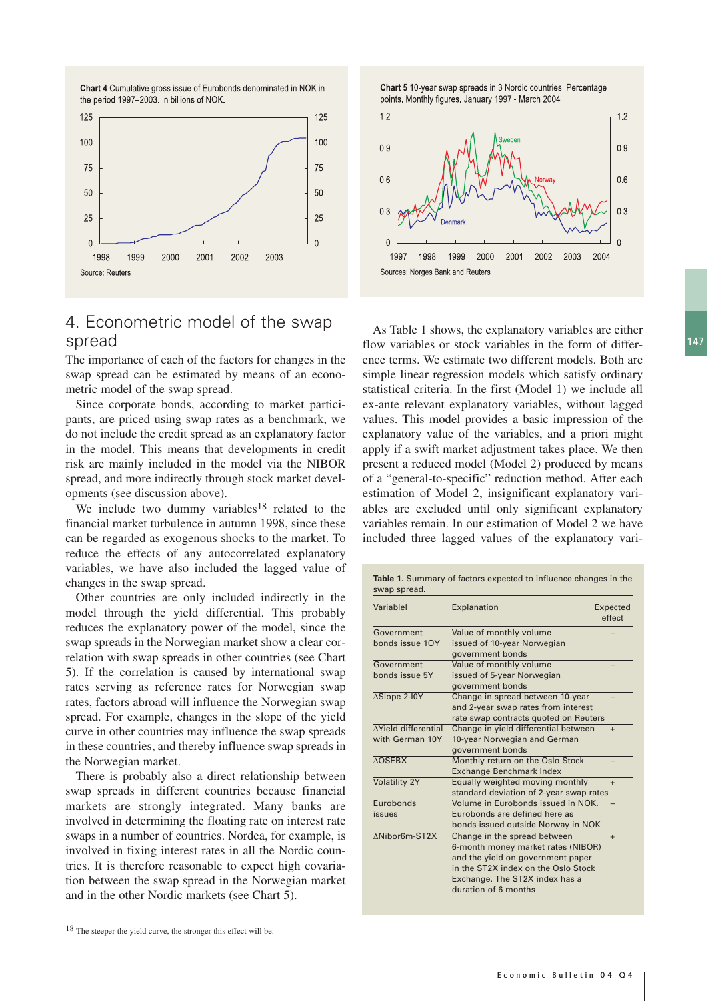



# 4. Econometric model of the swap spread

The importance of each of the factors for changes in the swap spread can be estimated by means of an econometric model of the swap spread.

Since corporate bonds, according to market participants, are priced using swap rates as a benchmark, we do not include the credit spread as an explanatory factor in the model. This means that developments in credit risk are mainly included in the model via the NIBOR spread, and more indirectly through stock market developments (see discussion above).

We include two dummy variables<sup>18</sup> related to the financial market turbulence in autumn 1998, since these can be regarded as exogenous shocks to the market. To reduce the effects of any autocorrelated explanatory variables, we have also included the lagged value of changes in the swap spread.

Other countries are only included indirectly in the model through the yield differential. This probably reduces the explanatory power of the model, since the swap spreads in the Norwegian market show a clear correlation with swap spreads in other countries (see Chart 5). If the correlation is caused by international swap rates serving as reference rates for Norwegian swap rates, factors abroad will influence the Norwegian swap spread. For example, changes in the slope of the yield curve in other countries may influence the swap spreads in these countries, and thereby influence swap spreads in the Norwegian market.

There is probably also a direct relationship between swap spreads in different countries because financial markets are strongly integrated. Many banks are involved in determining the floating rate on interest rate swaps in a number of countries. Nordea, for example, is involved in fixing interest rates in all the Nordic countries. It is therefore reasonable to expect high covariation between the swap spread in the Norwegian market and in the other Nordic markets (see Chart 5).

Chart 5 10-year swap spreads in 3 Nordic countries. Percentage points. Monthly figures. January 1997 - March 2004



As Table 1 shows, the explanatory variables are either flow variables or stock variables in the form of difference terms. We estimate two different models. Both are simple linear regression models which satisfy ordinary statistical criteria. In the first (Model 1) we include all ex-ante relevant explanatory variables, without lagged values. This model provides a basic impression of the explanatory value of the variables, and a priori might apply if a swift market adjustment takes place. We then present a reduced model (Model 2) produced by means of a "general-to-specific" reduction method. After each estimation of Model 2, insignificant explanatory variables are excluded until only significant explanatory variables remain. In our estimation of Model 2 we have included three lagged values of the explanatory vari-

| Variablel                  | Explanation                             | Expected<br>effect |
|----------------------------|-----------------------------------------|--------------------|
| Government                 | Value of monthly volume                 |                    |
| bonds issue 10Y            | issued of 10-year Norwegian             |                    |
|                            | government bonds                        |                    |
| Government                 | Value of monthly volume                 |                    |
| bonds issue 5Y             | issued of 5-year Norwegian              |                    |
|                            | government bonds                        |                    |
| ∆Slope 2-I0Y               | Change in spread between 10-year        |                    |
|                            | and 2-year swap rates from interest     |                    |
|                            | rate swap contracts quoted on Reuters   |                    |
| <b>AYield differential</b> | Change in yield differential between    | $+$                |
| with German 10Y            | 10-year Norwegian and German            |                    |
|                            | government bonds                        |                    |
| <b>AOSEBX</b>              | Monthly return on the Oslo Stock        |                    |
|                            | Exchange Benchmark Index                |                    |
| <b>Volatility 2Y</b>       | Equally weighted moving monthly         | $+$                |
|                            | standard deviation of 2-year swap rates |                    |
| Eurobonds                  | Volume in Eurobonds issued in NOK.      |                    |
| issues                     | Eurobonds are defined here as           |                    |
|                            | bonds issued outside Norway in NOK      |                    |
| ANibor6m-ST2X              | Change in the spread between            | $+$                |
|                            | 6-month money market rates (NIBOR)      |                    |
|                            | and the yield on government paper       |                    |
|                            | in the ST2X index on the Oslo Stock     |                    |
|                            | Exchange. The ST2X index has a          |                    |
|                            | duration of 6 months                    |                    |

147

<sup>18</sup> The steeper the yield curve, the stronger this effect will be.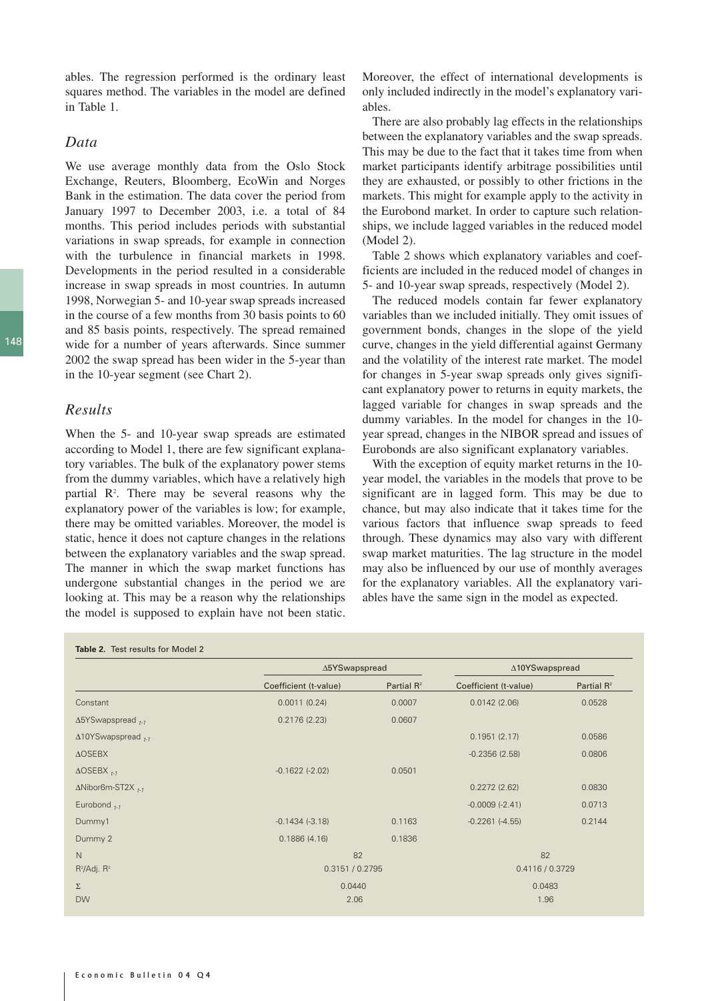ables. The regression performed is the ordinary least squares method. The variables in the model are defined in Table 1.

### *Data*

We use average monthly data from the Oslo Stock Exchange, Reuters, Bloomberg, EcoWin and Norges Bank in the estimation. The data cover the period from January 1997 to December 2003, i.e. a total of 84 months. This period includes periods with substantial variations in swap spreads, for example in connection with the turbulence in financial markets in 1998. Developments in the period resulted in a considerable increase in swap spreads in most countries. In autumn 1998, Norwegian 5- and 10-year swap spreads increased in the course of a few months from 30 basis points to 60 and 85 basis points, respectively. The spread remained wide for a number of years afterwards. Since summer 2002 the swap spread has been wider in the 5-year than in the 10-year segment (see Chart 2).

### *Results*

When the 5- and 10-year swap spreads are estimated according to Model 1, there are few significant explanatory variables. The bulk of the explanatory power stems from the dummy variables, which have a relatively high partial R<sup>2</sup>. There may be several reasons why the explanatory power of the variables is low; for example, there may be omitted variables. Moreover, the model is static, hence it does not capture changes in the relations between the explanatory variables and the swap spread. The manner in which the swap market functions has undergone substantial changes in the period we are looking at. This may be a reason why the relationships the model is supposed to explain have not been static. Moreover, the effect of international developments is only included indirectly in the model's explanatory variables.

There are also probably lag effects in the relationships between the explanatory variables and the swap spreads. This may be due to the fact that it takes time from when market participants identify arbitrage possibilities until they are exhausted, or possibly to other frictions in the markets. This might for example apply to the activity in the Eurobond market. In order to capture such relationships, we include lagged variables in the reduced model (Model 2).

Table 2 shows which explanatory variables and coefficients are included in the reduced model of changes in 5- and 10-year swap spreads, respectively (Model 2).

The reduced models contain far fewer explanatory variables than we included initially. They omit issues of government bonds, changes in the slope of the yield curve, changes in the yield differential against Germany and the volatility of the interest rate market. The model for changes in 5-year swap spreads only gives significant explanatory power to returns in equity markets, the lagged variable for changes in swap spreads and the dummy variables. In the model for changes in the 10 year spread, changes in the NIBOR spread and issues of Eurobonds are also significant explanatory variables.

With the exception of equity market returns in the 10 year model, the variables in the models that prove to be significant are in lagged form. This may be due to chance, but may also indicate that it takes time for the various factors that influence swap spreads to feed through. These dynamics may also vary with different swap market maturities. The lag structure in the model may also be influenced by our use of monthly averages for the explanatory variables. All the explanatory variables have the same sign in the model as expected.

|                                      | ∆5YSwapspread         |                 | ∆10YSwapspread        |                 |  |
|--------------------------------------|-----------------------|-----------------|-----------------------|-----------------|--|
|                                      | Coefficient (t-value) | Partial $R^2$   | Coefficient (t-value) | Partial $R^2$   |  |
| Constant                             | 0.0011(0.24)          | 0.0007          | 0.0142(2.06)          | 0.0528          |  |
| $\Delta$ 5YSwapspread <sub>t-1</sub> | 0.2176(2.23)          | 0.0607          |                       |                 |  |
| $\Delta$ 10YSwapspread $_{t-1}$      |                       |                 | 0.1951(2.17)          | 0.0586          |  |
| <b>AOSEBX</b>                        |                       |                 | $-0.2356(2.58)$       | 0.0806          |  |
| $\triangle$ OSEBX $_{t-1}$           | $-0.1622$ $(-2.02)$   | 0.0501          |                       |                 |  |
| $\Delta$ Nibor6m-ST2X $_{t-1}$       |                       |                 | 0.2272(2.62)          | 0.0830          |  |
| Eurobond $_{t=1}$                    |                       |                 | $-0.0009(-2.41)$      | 0.0713          |  |
| Dummy1                               | $-0.1434(-3.18)$      | 0.1163          | $-0.2261$ $(-4.55)$   | 0.2144          |  |
| Dummy 2                              | 0.1886(4.16)          | 0.1836          |                       |                 |  |
| N                                    |                       | 82              |                       | 82              |  |
| $R^2/Adj. R^2$                       |                       | 0.3151 / 0.2795 |                       | 0.4116 / 0.3729 |  |
| Σ                                    |                       | 0.0440          |                       | 0.0483          |  |
| <b>DW</b>                            | 2.06                  |                 | 1.96                  |                 |  |